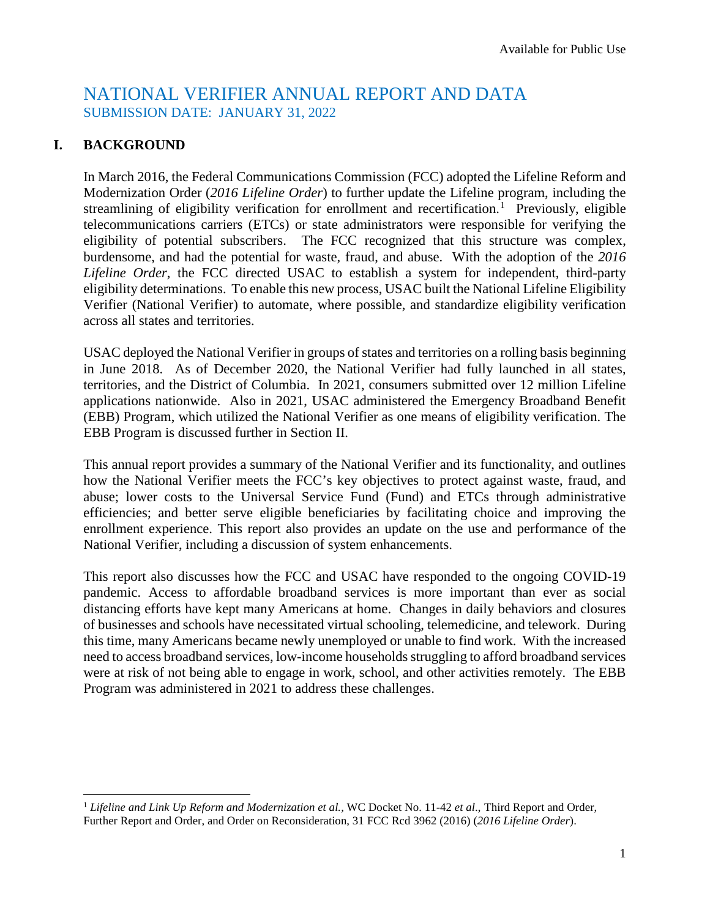# NATIONAL VERIFIER ANNUAL REPORT AND DATA SUBMISSION DATE: JANUARY 31, 2022

# **I. BACKGROUND**

l

In March 2016, the Federal Communications Commission (FCC) adopted the Lifeline Reform and Modernization Order (*2016 Lifeline Order*) to further update the Lifeline program, including the streamlining of eligibility verification for enrollment and recertification.<sup>[1](#page-0-0)</sup> Previously, eligible telecommunications carriers (ETCs) or state administrators were responsible for verifying the eligibility of potential subscribers. The FCC recognized that this structure was complex, burdensome, and had the potential for waste, fraud, and abuse. With the adoption of the *2016 Lifeline Order*, the FCC directed USAC to establish a system for independent, third-party eligibility determinations. To enable this new process, USAC built the National Lifeline Eligibility Verifier (National Verifier) to automate, where possible, and standardize eligibility verification across all states and territories.

USAC deployed the National Verifier in groups of states and territories on a rolling basis beginning in June 2018. As of December 2020, the National Verifier had fully launched in all states, territories, and the District of Columbia. In 2021, consumers submitted over 12 million Lifeline applications nationwide. Also in 2021, USAC administered the Emergency Broadband Benefit (EBB) Program, which utilized the National Verifier as one means of eligibility verification. The EBB Program is discussed further in Section II.

This annual report provides a summary of the National Verifier and its functionality, and outlines how the National Verifier meets the FCC's key objectives to protect against waste, fraud, and abuse; lower costs to the Universal Service Fund (Fund) and ETCs through administrative efficiencies; and better serve eligible beneficiaries by facilitating choice and improving the enrollment experience. This report also provides an update on the use and performance of the National Verifier, including a discussion of system enhancements.

This report also discusses how the FCC and USAC have responded to the ongoing COVID-19 pandemic. Access to affordable broadband services is more important than ever as social distancing efforts have kept many Americans at home. Changes in daily behaviors and closures of businesses and schools have necessitated virtual schooling, telemedicine, and telework. During this time, many Americans became newly unemployed or unable to find work. With the increased need to access broadband services, low-income households struggling to afford broadband services were at risk of not being able to engage in work, school, and other activities remotely. The EBB Program was administered in 2021 to address these challenges.

<span id="page-0-0"></span><sup>1</sup> *Lifeline and Link Up Reform and Modernization et al.,* WC Docket No. 11-42 *et al*., Third Report and Order, Further Report and Order, and Order on Reconsideration, 31 FCC Rcd 3962 (2016) (*2016 Lifeline Order*).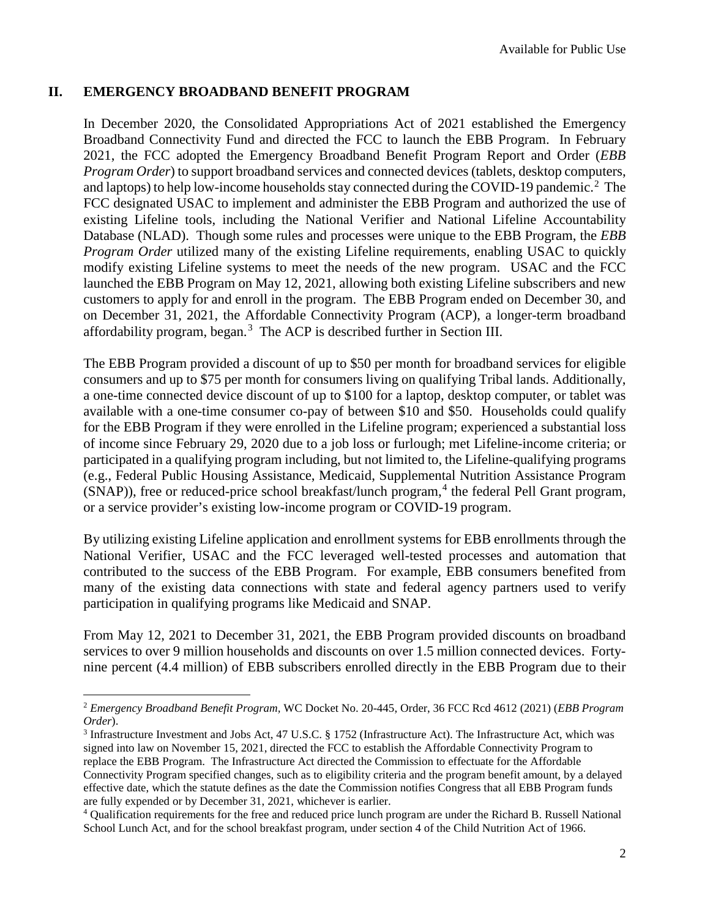#### **II. EMERGENCY BROADBAND BENEFIT PROGRAM**

l

In December 2020, the Consolidated Appropriations Act of 2021 established the Emergency Broadband Connectivity Fund and directed the FCC to launch the EBB Program. In February 2021, the FCC adopted the Emergency Broadband Benefit Program Report and Order (*EBB Program Order*) to support broadband services and connected devices (tablets, desktop computers, and laptops) to help low-income households stay connected during the COVID-19 pandemic.<sup>[2](#page-1-0)</sup> The FCC designated USAC to implement and administer the EBB Program and authorized the use of existing Lifeline tools, including the National Verifier and National Lifeline Accountability Database (NLAD). Though some rules and processes were unique to the EBB Program, the *EBB Program Order* utilized many of the existing Lifeline requirements, enabling USAC to quickly modify existing Lifeline systems to meet the needs of the new program. USAC and the FCC launched the EBB Program on May 12, 2021, allowing both existing Lifeline subscribers and new customers to apply for and enroll in the program. The EBB Program ended on December 30, and on December 31, 2021, the Affordable Connectivity Program (ACP), a longer-term broadband affordability program, began.[3](#page-1-1) The ACP is described further in Section III.

The EBB Program provided a discount of up to \$50 per month for broadband services for eligible consumers and up to \$75 per month for consumers living on qualifying Tribal lands. Additionally, a one-time connected device discount of up to \$100 for a laptop, desktop computer, or tablet was available with a one-time consumer co-pay of between \$10 and \$50. Households could qualify for the EBB Program if they were enrolled in the Lifeline program; experienced a substantial loss of income since February 29, 2020 due to a job loss or furlough; met Lifeline-income criteria; or participated in a qualifying program including, but not limited to, the Lifeline-qualifying programs (e.g., Federal Public Housing Assistance, Medicaid, Supplemental Nutrition Assistance Program  $(SNAP)$ ), free or reduced-price school breakfast/lunch program,<sup>[4](#page-1-2)</sup> the federal Pell Grant program, or a service provider's existing low-income program or COVID-19 program.

By utilizing existing Lifeline application and enrollment systems for EBB enrollments through the National Verifier, USAC and the FCC leveraged well-tested processes and automation that contributed to the success of the EBB Program. For example, EBB consumers benefited from many of the existing data connections with state and federal agency partners used to verify participation in qualifying programs like Medicaid and SNAP.

From May 12, 2021 to December 31, 2021, the EBB Program provided discounts on broadband services to over 9 million households and discounts on over 1.5 million connected devices. Fortynine percent (4.4 million) of EBB subscribers enrolled directly in the EBB Program due to their

<span id="page-1-0"></span><sup>2</sup> *Emergency Broadband Benefit Program,* WC Docket No. 20-445, Order, 36 FCC Rcd 4612 (2021) (*EBB Program Order*).<br><sup>3</sup> Infrastructure Investment and Jobs Act, 47 U.S.C. § 1752 (Infrastructure Act). The Infrastructure Act, which was

<span id="page-1-1"></span>signed into law on November 15, 2021, directed the FCC to establish the Affordable Connectivity Program to replace the EBB Program. The Infrastructure Act directed the Commission to effectuate for the Affordable Connectivity Program specified changes, such as to eligibility criteria and the program benefit amount, by a delayed effective date, which the statute defines as the date the Commission notifies Congress that all EBB Program funds are fully expended or by December 31, 2021, whichever is earlier.

<span id="page-1-2"></span><sup>4</sup> Qualification requirements for the free and reduced price lunch program are under the Richard B. Russell National School Lunch Act, and for the school breakfast program, under section 4 of the Child Nutrition Act of 1966.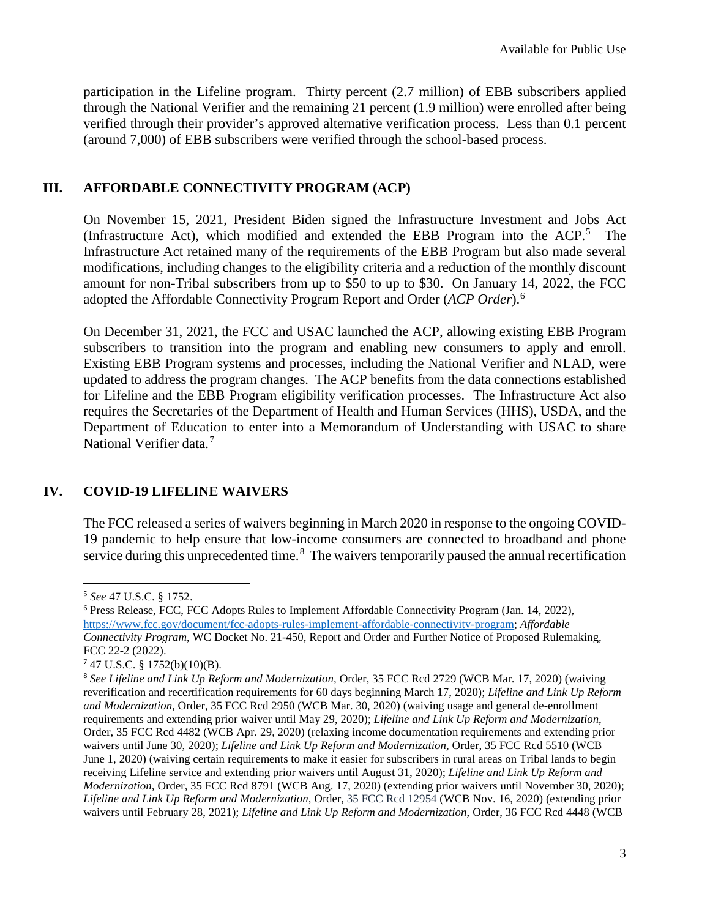participation in the Lifeline program. Thirty percent (2.7 million) of EBB subscribers applied through the National Verifier and the remaining 21 percent (1.9 million) were enrolled after being verified through their provider's approved alternative verification process. Less than 0.1 percent (around 7,000) of EBB subscribers were verified through the school-based process.

## **III. AFFORDABLE CONNECTIVITY PROGRAM (ACP)**

On November 15, 2021, President Biden signed the Infrastructure Investment and Jobs Act (Infrastructure Act), which modified and extended the EBB Program into the ACP.<sup>[5](#page-2-0)</sup> The Infrastructure Act retained many of the requirements of the EBB Program but also made several modifications, including changes to the eligibility criteria and a reduction of the monthly discount amount for non-Tribal subscribers from up to \$50 to up to \$30. On January 14, 2022, the FCC adopted the Affordable Connectivity Program Report and Order (*ACP Order*). [6](#page-2-1)

On December 31, 2021, the FCC and USAC launched the ACP, allowing existing EBB Program subscribers to transition into the program and enabling new consumers to apply and enroll. Existing EBB Program systems and processes, including the National Verifier and NLAD, were updated to address the program changes. The ACP benefits from the data connections established for Lifeline and the EBB Program eligibility verification processes. The Infrastructure Act also requires the Secretaries of the Department of Health and Human Services (HHS), USDA, and the Department of Education to enter into a Memorandum of Understanding with USAC to share National Verifier data.<sup>[7](#page-2-2)</sup>

# **IV. COVID-19 LIFELINE WAIVERS**

The FCC released a series of waivers beginning in March 2020 in response to the ongoing COVID-19 pandemic to help ensure that low-income consumers are connected to broadband and phone service during this unprecedented time.<sup>[8](#page-2-3)</sup> The waivers temporarily paused the annual recertification

 $\overline{a}$ 

<span id="page-2-0"></span><sup>5</sup> *See* 47 U.S.C. § 1752.

<span id="page-2-1"></span><sup>6</sup> Press Release, FCC, FCC Adopts Rules to Implement Affordable Connectivity Program (Jan. 14, 2022), [https://www.fcc.gov/document/fcc-adopts-rules-implement-affordable-connectivity-program;](https://www.fcc.gov/document/fcc-adopts-rules-implement-affordable-connectivity-program) *Affordable Connectivity Program*, WC Docket No. 21-450, Report and Order and Further Notice of Proposed Rulemaking, FCC 22-2 (2022).

<span id="page-2-2"></span><sup>7</sup> 47 U.S.C. § 1752(b)(10)(B).

<span id="page-2-3"></span><sup>8</sup> *See Lifeline and Link Up Reform and Modernization,* Order, 35 FCC Rcd 2729 (WCB Mar. 17, 2020) (waiving reverification and recertification requirements for 60 days beginning March 17, 2020); *Lifeline and Link Up Reform and Modernization,* Order, 35 FCC Rcd 2950 (WCB Mar. 30, 2020) (waiving usage and general de-enrollment requirements and extending prior waiver until May 29, 2020); *Lifeline and Link Up Reform and Modernization*, Order, 35 FCC Rcd 4482 (WCB Apr. 29, 2020) (relaxing income documentation requirements and extending prior waivers until June 30, 2020); *Lifeline and Link Up Reform and Modernization*, Order, 35 FCC Rcd 5510 (WCB June 1, 2020) (waiving certain requirements to make it easier for subscribers in rural areas on Tribal lands to begin receiving Lifeline service and extending prior waivers until August 31, 2020); *Lifeline and Link Up Reform and Modernization,* Order, 35 FCC Rcd 8791 (WCB Aug. 17, 2020) (extending prior waivers until November 30, 2020); *Lifeline and Link Up Reform and Modernization,* Order, 35 FCC Rcd 12954 (WCB Nov. 16, 2020) (extending prior waivers until February 28, 2021); *Lifeline and Link Up Reform and Modernization*, Order, 36 FCC Rcd 4448 (WCB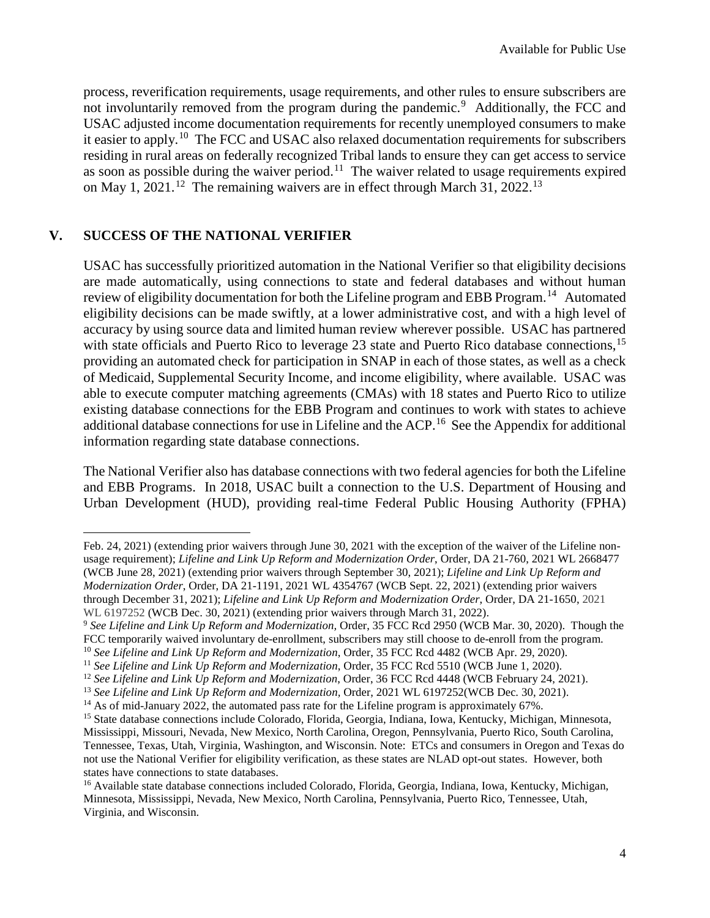process, reverification requirements, usage requirements, and other rules to ensure subscribers are not involuntarily removed from the program during the pandemic.<sup>[9](#page-3-0)</sup> Additionally, the FCC and USAC adjusted income documentation requirements for recently unemployed consumers to make it easier to apply.<sup>10</sup> The FCC and USAC also relaxed documentation requirements for subscribers residing in rural areas on federally recognized Tribal lands to ensure they can get access to service as soon as possible during the waiver period.<sup>11</sup> The waiver related to usage requirements expired on May 1, 2021.<sup>[12](#page-3-3)</sup> The remaining waivers are in effect through March 31, 2022.<sup>[13](#page-3-4)</sup>

### **V. SUCCESS OF THE NATIONAL VERIFIER**

l

USAC has successfully prioritized automation in the National Verifier so that eligibility decisions are made automatically, using connections to state and federal databases and without human review of eligibility documentation for both the Lifeline program and EBB Program.<sup>[14](#page-3-5)</sup> Automated eligibility decisions can be made swiftly, at a lower administrative cost, and with a high level of accuracy by using source data and limited human review wherever possible. USAC has partnered with state officials and Puerto Rico to leverage 23 state and Puerto Rico database connections,<sup>[15](#page-3-6)</sup> providing an automated check for participation in SNAP in each of those states, as well as a check of Medicaid, Supplemental Security Income, and income eligibility, where available. USAC was able to execute computer matching agreements (CMAs) with 18 states and Puerto Rico to utilize existing database connections for the EBB Program and continues to work with states to achieve additional database connections for use in Lifeline and the ACP.<sup>[16](#page-3-7)</sup> See the Appendix for additional information regarding state database connections.

The National Verifier also has database connections with two federal agencies for both the Lifeline and EBB Programs. In 2018, USAC built a connection to the U.S. Department of Housing and Urban Development (HUD), providing real-time Federal Public Housing Authority (FPHA)

Feb. 24, 2021) (extending prior waivers through June 30, 2021 with the exception of the waiver of the Lifeline nonusage requirement); *Lifeline and Link Up Reform and Modernization Order*, Order, DA 21-760, 2021 WL 2668477 (WCB June 28, 2021) (extending prior waivers through September 30, 2021); *Lifeline and Link Up Reform and Modernization Order*, Order, DA 21-1191, 2021 WL 4354767 (WCB Sept. 22, 2021) (extending prior waivers through December 31, 2021); *Lifeline and Link Up Reform and Modernization Order*, Order, DA 21-1650, 2021 WL 6197252 (WCB Dec. 30, 2021) (extending prior waivers through March 31, 2022).

<span id="page-3-0"></span><sup>&</sup>lt;sup>9</sup> See Lifeline and Link Up Reform and Modernization, Order, 35 FCC Rcd 2950 (WCB Mar. 30, 2020). Though the FCC temporarily waived involuntary de-enrollment, subscribers may still choose to de-enroll from the program.

<span id="page-3-1"></span><sup>&</sup>lt;sup>10</sup> See Lifeline and Link Up Reform and Modernization, Order, 35 FCC Rcd 4482 (WCB Apr. 29, 2020).

<sup>11</sup> *See Lifeline and Link Up Reform and Modernization*, Order, 35 FCC Rcd 5510 (WCB June 1, 2020).

<sup>12</sup> *See Lifeline and Link Up Reform and Modernization*, Order, 36 FCC Rcd 4448 (WCB February 24, 2021).

<span id="page-3-5"></span><span id="page-3-4"></span><span id="page-3-3"></span><span id="page-3-2"></span><sup>13</sup> *See Lifeline and Link Up Reform and Modernization,* Order, 2021 WL 6197252(WCB Dec. 30, 2021).

<sup>&</sup>lt;sup>14</sup> As of mid-January 2022, the automated pass rate for the Lifeline program is approximately 67%.

<span id="page-3-6"></span><sup>&</sup>lt;sup>15</sup> State database connections include Colorado, Florida, Georgia, Indiana, Iowa, Kentucky, Michigan, Minnesota, Mississippi, Missouri, Nevada, New Mexico, North Carolina, Oregon, Pennsylvania, Puerto Rico, South Carolina, Tennessee, Texas, Utah, Virginia, Washington, and Wisconsin. Note: ETCs and consumers in Oregon and Texas do not use the National Verifier for eligibility verification, as these states are NLAD opt-out states. However, both states have connections to state databases.

<span id="page-3-7"></span><sup>16</sup> Available state database connections included Colorado, Florida, Georgia, Indiana, Iowa, Kentucky, Michigan, Minnesota, Mississippi, Nevada, New Mexico, North Carolina, Pennsylvania, Puerto Rico, Tennessee, Utah, Virginia, and Wisconsin.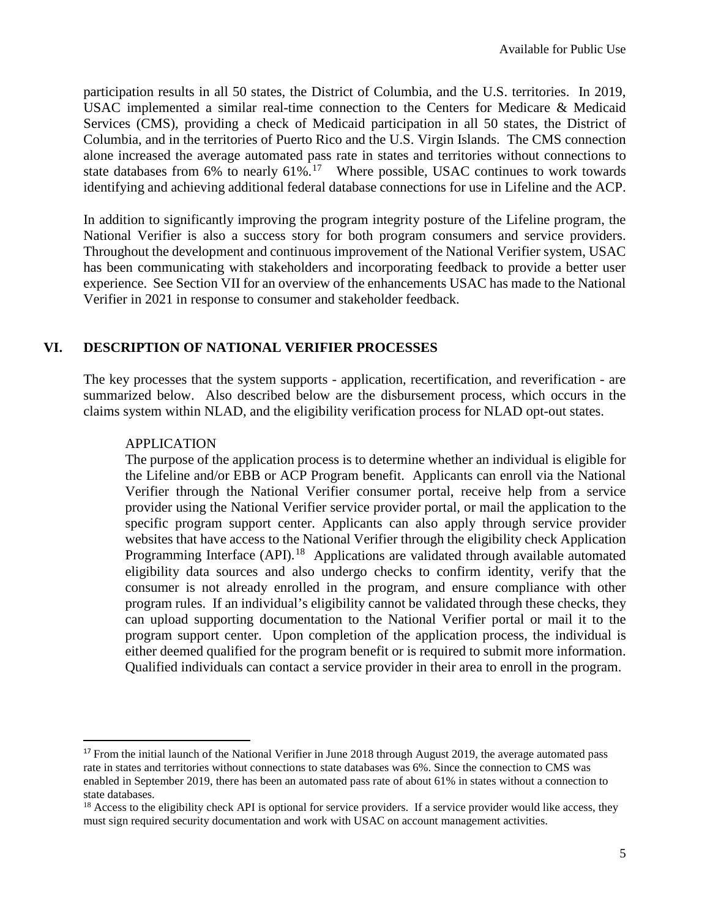participation results in all 50 states, the District of Columbia, and the U.S. territories. In 2019, USAC implemented a similar real-time connection to the Centers for Medicare & Medicaid Services (CMS), providing a check of Medicaid participation in all 50 states, the District of Columbia, and in the territories of Puerto Rico and the U.S. Virgin Islands. The CMS connection alone increased the average automated pass rate in states and territories without connections to state databases from  $6\%$  to nearly  $61\%$ .<sup>[17](#page-4-0)</sup> Where possible, USAC continues to work towards identifying and achieving additional federal database connections for use in Lifeline and the ACP.

In addition to significantly improving the program integrity posture of the Lifeline program, the National Verifier is also a success story for both program consumers and service providers. Throughout the development and continuous improvement of the National Verifier system, USAC has been communicating with stakeholders and incorporating feedback to provide a better user experience. See Section VII for an overview of the enhancements USAC has made to the National Verifier in 2021 in response to consumer and stakeholder feedback.

# **VI. DESCRIPTION OF NATIONAL VERIFIER PROCESSES**

The key processes that the system supports - application, recertification, and reverification - are summarized below. Also described below are the disbursement process, which occurs in the claims system within NLAD, and the eligibility verification process for NLAD opt-out states.

#### APPLICATION

The purpose of the application process is to determine whether an individual is eligible for the Lifeline and/or EBB or ACP Program benefit. Applicants can enroll via the National Verifier through the National Verifier consumer portal, receive help from a service provider using the National Verifier service provider portal, or mail the application to the specific program support center. Applicants can also apply through service provider websites that have access to the National Verifier through the eligibility check Application Programming Interface (API).<sup>[18](#page-4-1)</sup> Applications are validated through available automated eligibility data sources and also undergo checks to confirm identity, verify that the consumer is not already enrolled in the program, and ensure compliance with other program rules. If an individual's eligibility cannot be validated through these checks, they can upload supporting documentation to the National Verifier portal or mail it to the program support center. Upon completion of the application process, the individual is either deemed qualified for the program benefit or is required to submit more information. Qualified individuals can contact a service provider in their area to enroll in the program.

<span id="page-4-0"></span><sup>&</sup>lt;sup>17</sup> From the initial launch of the National Verifier in June 2018 through August 2019, the average automated pass rate in states and territories without connections to state databases was 6%. Since the connection to CMS was enabled in September 2019, there has been an automated pass rate of about 61% in states without a connection to state databases.

<span id="page-4-1"></span> $18$  Access to the eligibility check API is optional for service providers. If a service provider would like access, they must sign required security documentation and work with USAC on account management activities.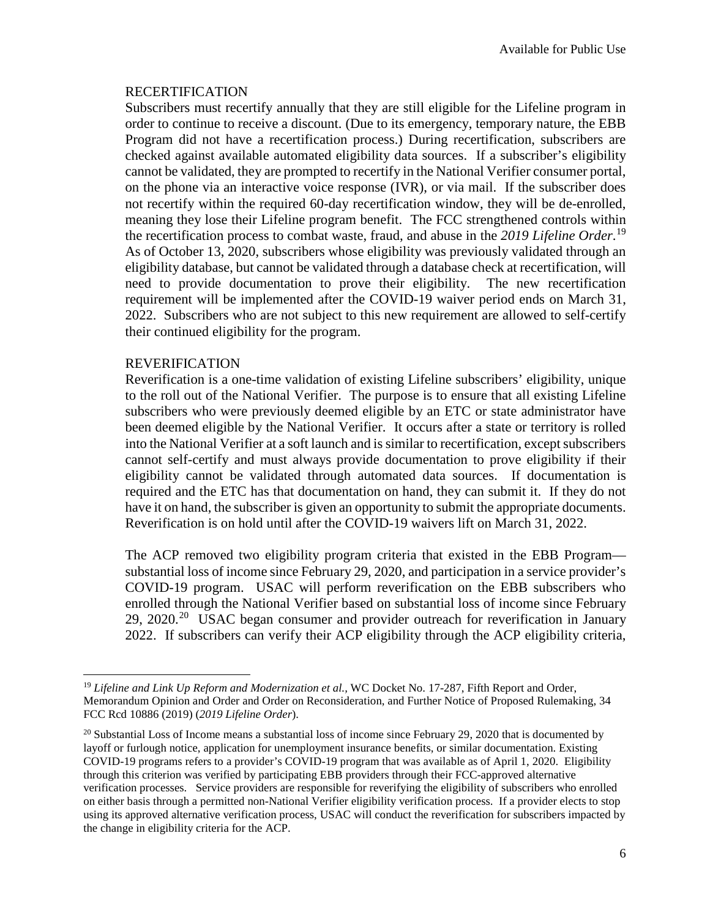#### RECERTIFICATION

Subscribers must recertify annually that they are still eligible for the Lifeline program in order to continue to receive a discount. (Due to its emergency, temporary nature, the EBB Program did not have a recertification process.) During recertification, subscribers are checked against available automated eligibility data sources. If a subscriber's eligibility cannot be validated, they are prompted to recertify in the National Verifier consumer portal, on the phone via an interactive voice response (IVR), or via mail. If the subscriber does not recertify within the required 60-day recertification window, they will be de-enrolled, meaning they lose their Lifeline program benefit. The FCC strengthened controls within the recertification process to combat waste, fraud, and abuse in the *2019 Lifeline Order*. [19](#page-5-0) As of October 13, 2020, subscribers whose eligibility was previously validated through an eligibility database, but cannot be validated through a database check at recertification, will need to provide documentation to prove their eligibility. The new recertification requirement will be implemented after the COVID-19 waiver period ends on March 31, 2022. Subscribers who are not subject to this new requirement are allowed to self-certify their continued eligibility for the program.

#### REVERIFICATION

 $\overline{\phantom{a}}$ 

Reverification is a one-time validation of existing Lifeline subscribers' eligibility, unique to the roll out of the National Verifier. The purpose is to ensure that all existing Lifeline subscribers who were previously deemed eligible by an ETC or state administrator have been deemed eligible by the National Verifier. It occurs after a state or territory is rolled into the National Verifier at a soft launch and is similar to recertification, except subscribers cannot self-certify and must always provide documentation to prove eligibility if their eligibility cannot be validated through automated data sources. If documentation is required and the ETC has that documentation on hand, they can submit it. If they do not have it on hand, the subscriber is given an opportunity to submit the appropriate documents. Reverification is on hold until after the COVID-19 waivers lift on March 31, 2022.

The ACP removed two eligibility program criteria that existed in the EBB Program substantial loss of income since February 29, 2020, and participation in a service provider's COVID-19 program. USAC will perform reverification on the EBB subscribers who enrolled through the National Verifier based on substantial loss of income since February 29, [20](#page-5-1)20.<sup>20</sup> USAC began consumer and provider outreach for reverification in January 2022. If subscribers can verify their ACP eligibility through the ACP eligibility criteria,

<span id="page-5-0"></span><sup>&</sup>lt;sup>19</sup> Lifeline and Link Up Reform and Modernization et al., WC Docket No. 17-287, Fifth Report and Order, Memorandum Opinion and Order and Order on Reconsideration, and Further Notice of Proposed Rulemaking, 34 FCC Rcd 10886 (2019) (*2019 Lifeline Order*).

<span id="page-5-1"></span> $20$  Substantial Loss of Income means a substantial loss of income since February 29, 2020 that is documented by layoff or furlough notice, application for unemployment insurance benefits, or similar documentation. Existing COVID-19 programs refers to a provider's COVID-19 program that was available as of April 1, 2020. Eligibility through this criterion was verified by participating EBB providers through their FCC-approved alternative verification processes. Service providers are responsible for reverifying the eligibility of subscribers who enrolled on either basis through a permitted non-National Verifier eligibility verification process. If a provider elects to stop using its approved alternative verification process, USAC will conduct the reverification for subscribers impacted by the change in eligibility criteria for the ACP.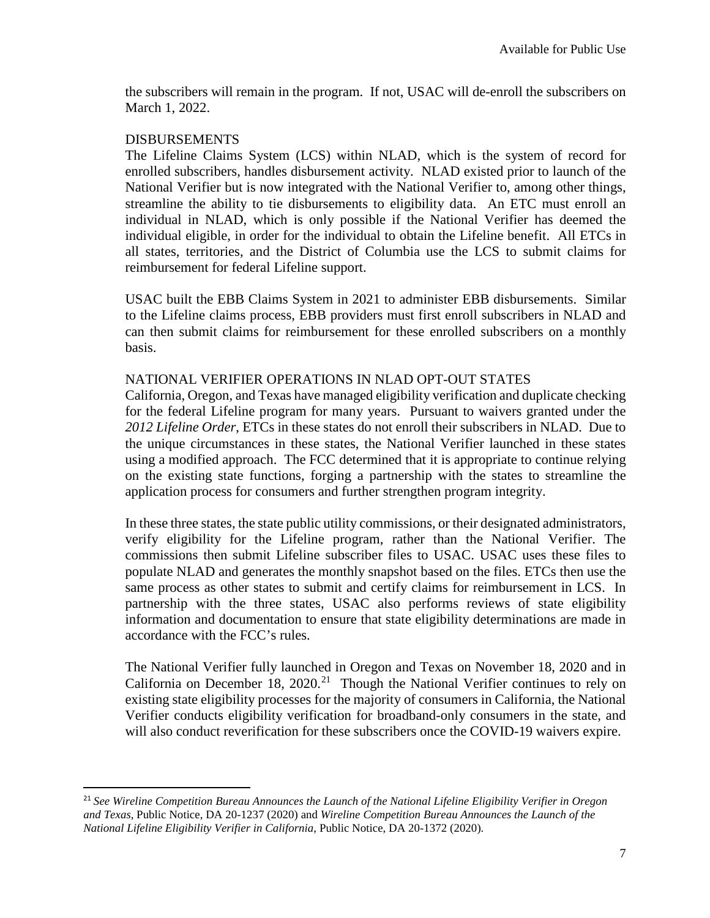the subscribers will remain in the program. If not, USAC will de-enroll the subscribers on March 1, 2022.

#### DISBURSEMENTS

The Lifeline Claims System (LCS) within NLAD, which is the system of record for enrolled subscribers, handles disbursement activity. NLAD existed prior to launch of the National Verifier but is now integrated with the National Verifier to, among other things, streamline the ability to tie disbursements to eligibility data. An ETC must enroll an individual in NLAD, which is only possible if the National Verifier has deemed the individual eligible, in order for the individual to obtain the Lifeline benefit. All ETCs in all states, territories, and the District of Columbia use the LCS to submit claims for reimbursement for federal Lifeline support.

USAC built the EBB Claims System in 2021 to administer EBB disbursements. Similar to the Lifeline claims process, EBB providers must first enroll subscribers in NLAD and can then submit claims for reimbursement for these enrolled subscribers on a monthly basis.

#### NATIONAL VERIFIER OPERATIONS IN NLAD OPT-OUT STATES

California, Oregon, and Texas have managed eligibility verification and duplicate checking for the federal Lifeline program for many years. Pursuant to waivers granted under the *2012 Lifeline Order*, ETCs in these states do not enroll their subscribers in NLAD. Due to the unique circumstances in these states, the National Verifier launched in these states using a modified approach. The FCC determined that it is appropriate to continue relying on the existing state functions, forging a partnership with the states to streamline the application process for consumers and further strengthen program integrity.

In these three states, the state public utility commissions, or their designated administrators, verify eligibility for the Lifeline program, rather than the National Verifier. The commissions then submit Lifeline subscriber files to USAC. USAC uses these files to populate NLAD and generates the monthly snapshot based on the files. ETCs then use the same process as other states to submit and certify claims for reimbursement in LCS. In partnership with the three states, USAC also performs reviews of state eligibility information and documentation to ensure that state eligibility determinations are made in accordance with the FCC's rules.

The National Verifier fully launched in Oregon and Texas on November 18, 2020 and in California on December 18,  $2020$ <sup>[21](#page-6-0)</sup> Though the National Verifier continues to rely on existing state eligibility processes for the majority of consumers in California, the National Verifier conducts eligibility verification for broadband-only consumers in the state, and will also conduct reverification for these subscribers once the COVID-19 waivers expire.

<span id="page-6-0"></span> <sup>21</sup> *See Wireline Competition Bureau Announces the Launch of the National Lifeline Eligibility Verifier in Oregon and Texas*, Public Notice, DA 20-1237 (2020) and *Wireline Competition Bureau Announces the Launch of the National Lifeline Eligibility Verifier in California*, Public Notice, DA 20-1372 (2020).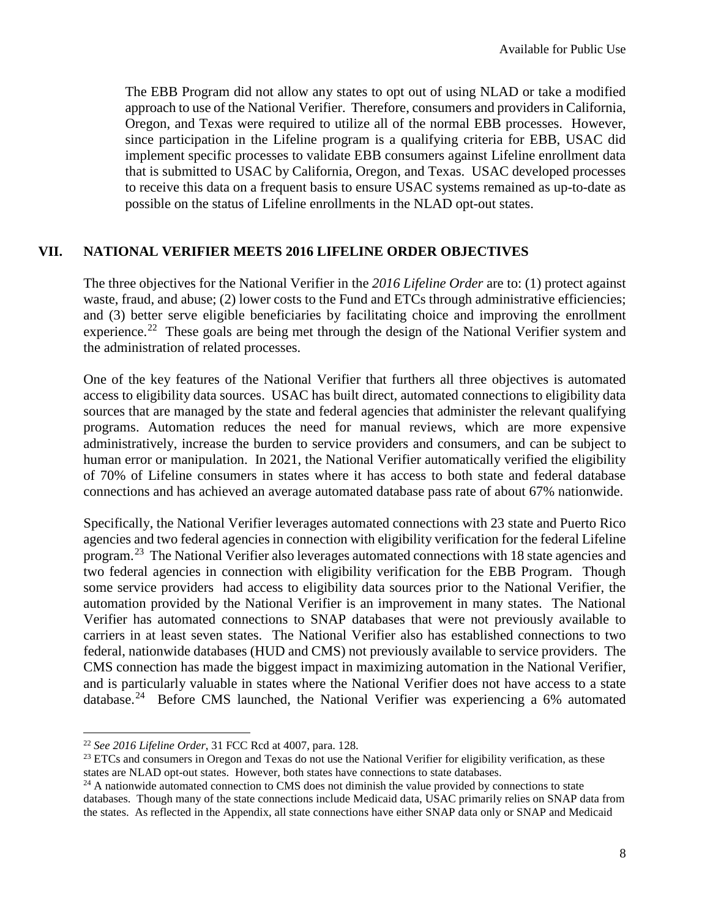The EBB Program did not allow any states to opt out of using NLAD or take a modified approach to use of the National Verifier. Therefore, consumers and providers in California, Oregon, and Texas were required to utilize all of the normal EBB processes. However, since participation in the Lifeline program is a qualifying criteria for EBB, USAC did implement specific processes to validate EBB consumers against Lifeline enrollment data that is submitted to USAC by California, Oregon, and Texas. USAC developed processes to receive this data on a frequent basis to ensure USAC systems remained as up-to-date as possible on the status of Lifeline enrollments in the NLAD opt-out states.

### **VII. NATIONAL VERIFIER MEETS 2016 LIFELINE ORDER OBJECTIVES**

The three objectives for the National Verifier in the *2016 Lifeline Order* are to: (1) protect against waste, fraud, and abuse; (2) lower costs to the Fund and ETCs through administrative efficiencies; and (3) better serve eligible beneficiaries by facilitating choice and improving the enrollment experience.<sup>[22](#page-7-0)</sup> These goals are being met through the design of the National Verifier system and the administration of related processes.

One of the key features of the National Verifier that furthers all three objectives is automated access to eligibility data sources. USAC has built direct, automated connections to eligibility data sources that are managed by the state and federal agencies that administer the relevant qualifying programs. Automation reduces the need for manual reviews, which are more expensive administratively, increase the burden to service providers and consumers, and can be subject to human error or manipulation. In 2021, the National Verifier automatically verified the eligibility of 70% of Lifeline consumers in states where it has access to both state and federal database connections and has achieved an average automated database pass rate of about 67% nationwide.

Specifically, the National Verifier leverages automated connections with 23 state and Puerto Rico agencies and two federal agencies in connection with eligibility verification for the federal Lifeline program.<sup>[23](#page-7-1)</sup> The National Verifier also leverages automated connections with 18 state agencies and two federal agencies in connection with eligibility verification for the EBB Program. Though some service providers had access to eligibility data sources prior to the National Verifier, the automation provided by the National Verifier is an improvement in many states. The National Verifier has automated connections to SNAP databases that were not previously available to carriers in at least seven states. The National Verifier also has established connections to two federal, nationwide databases (HUD and CMS) not previously available to service providers. The CMS connection has made the biggest impact in maximizing automation in the National Verifier, and is particularly valuable in states where the National Verifier does not have access to a state database.<sup>[24](#page-7-2)</sup> Before CMS launched, the National Verifier was experiencing a 6% automated

l

<span id="page-7-1"></span><sup>23</sup> ETCs and consumers in Oregon and Texas do not use the National Verifier for eligibility verification, as these states are NLAD opt-out states. However, both states have connections to state databases.

<span id="page-7-0"></span><sup>22</sup> *See 2016 Lifeline Order*, 31 FCC Rcd at 4007, para. 128.

<span id="page-7-2"></span> $24$  A nationwide automated connection to CMS does not diminish the value provided by connections to state databases. Though many of the state connections include Medicaid data, USAC primarily relies on SNAP data from the states. As reflected in the Appendix, all state connections have either SNAP data only or SNAP and Medicaid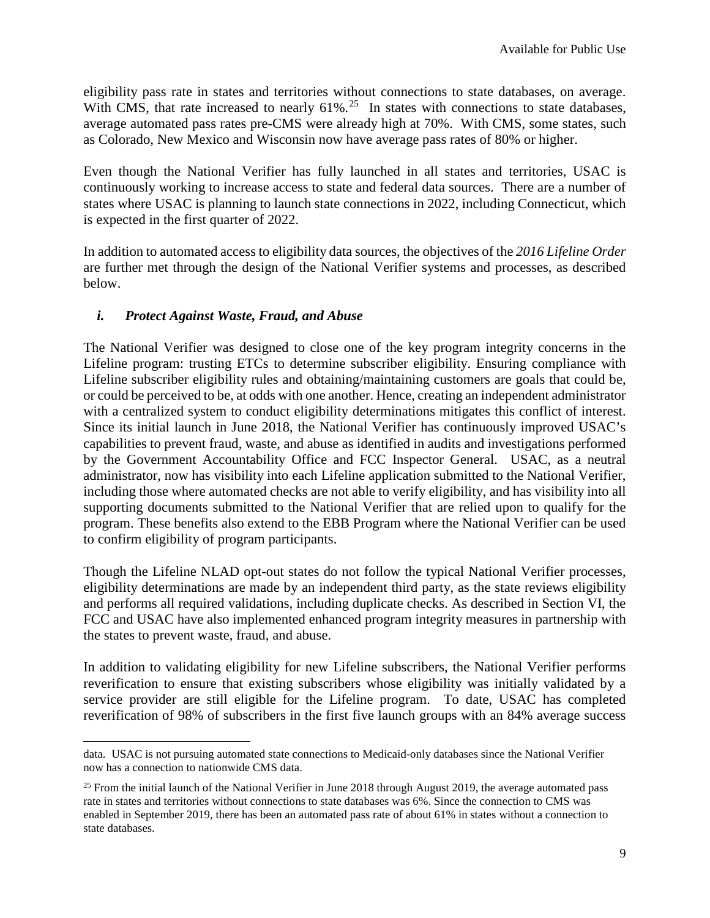eligibility pass rate in states and territories without connections to state databases, on average. With CMS, that rate increased to nearly  $61\%$ .<sup>[25](#page-8-0)</sup> In states with connections to state databases, average automated pass rates pre-CMS were already high at 70%. With CMS, some states, such as Colorado, New Mexico and Wisconsin now have average pass rates of 80% or higher.

Even though the National Verifier has fully launched in all states and territories, USAC is continuously working to increase access to state and federal data sources. There are a number of states where USAC is planning to launch state connections in 2022, including Connecticut, which is expected in the first quarter of 2022.

In addition to automated access to eligibility data sources, the objectives of the *2016 Lifeline Order* are further met through the design of the National Verifier systems and processes, as described below.

### *i. Protect Against Waste, Fraud, and Abuse*

 $\overline{a}$ 

The National Verifier was designed to close one of the key program integrity concerns in the Lifeline program: trusting ETCs to determine subscriber eligibility. Ensuring compliance with Lifeline subscriber eligibility rules and obtaining/maintaining customers are goals that could be, or could be perceived to be, at odds with one another. Hence, creating an independent administrator with a centralized system to conduct eligibility determinations mitigates this conflict of interest. Since its initial launch in June 2018, the National Verifier has continuously improved USAC's capabilities to prevent fraud, waste, and abuse as identified in audits and investigations performed by the Government Accountability Office and FCC Inspector General. USAC, as a neutral administrator, now has visibility into each Lifeline application submitted to the National Verifier, including those where automated checks are not able to verify eligibility, and has visibility into all supporting documents submitted to the National Verifier that are relied upon to qualify for the program. These benefits also extend to the EBB Program where the National Verifier can be used to confirm eligibility of program participants.

Though the Lifeline NLAD opt-out states do not follow the typical National Verifier processes, eligibility determinations are made by an independent third party, as the state reviews eligibility and performs all required validations, including duplicate checks. As described in Section VI, the FCC and USAC have also implemented enhanced program integrity measures in partnership with the states to prevent waste, fraud, and abuse.

In addition to validating eligibility for new Lifeline subscribers, the National Verifier performs reverification to ensure that existing subscribers whose eligibility was initially validated by a service provider are still eligible for the Lifeline program. To date, USAC has completed reverification of 98% of subscribers in the first five launch groups with an 84% average success

data. USAC is not pursuing automated state connections to Medicaid-only databases since the National Verifier now has a connection to nationwide CMS data.

<span id="page-8-0"></span><sup>&</sup>lt;sup>25</sup> From the initial launch of the National Verifier in June 2018 through August 2019, the average automated pass rate in states and territories without connections to state databases was 6%. Since the connection to CMS was enabled in September 2019, there has been an automated pass rate of about 61% in states without a connection to state databases.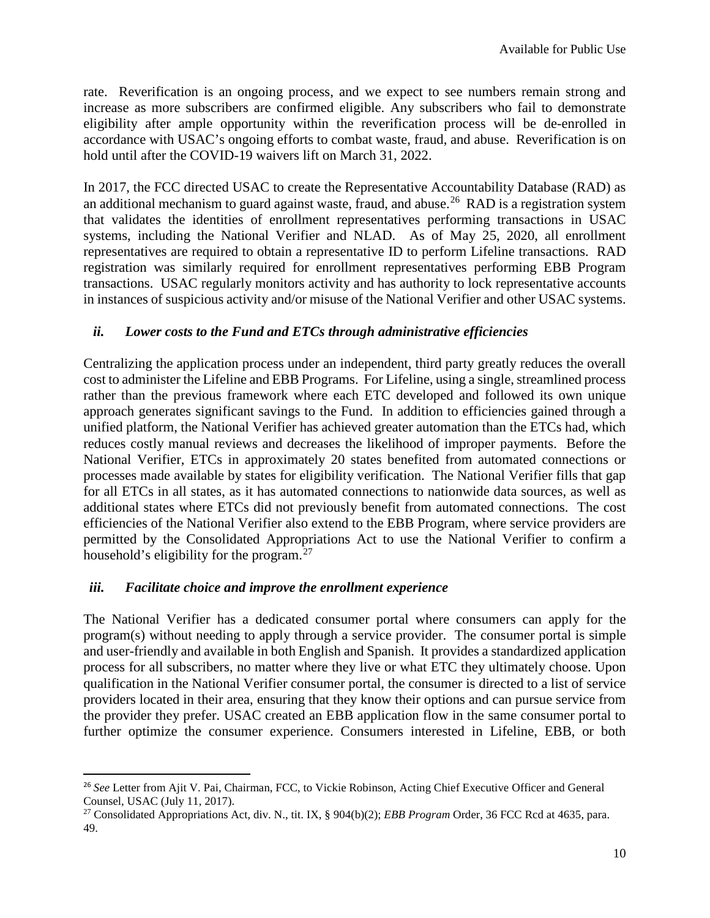rate. Reverification is an ongoing process, and we expect to see numbers remain strong and increase as more subscribers are confirmed eligible. Any subscribers who fail to demonstrate eligibility after ample opportunity within the reverification process will be de-enrolled in accordance with USAC's ongoing efforts to combat waste, fraud, and abuse. Reverification is on hold until after the COVID-19 waivers lift on March 31, 2022.

In 2017, the FCC directed USAC to create the Representative Accountability Database (RAD) as an additional mechanism to guard against waste, fraud, and abuse.<sup>[26](#page-9-0)</sup> RAD is a registration system that validates the identities of enrollment representatives performing transactions in USAC systems, including the National Verifier and NLAD. As of May 25, 2020, all enrollment representatives are required to obtain a representative ID to perform Lifeline transactions. RAD registration was similarly required for enrollment representatives performing EBB Program transactions. USAC regularly monitors activity and has authority to lock representative accounts in instances of suspicious activity and/or misuse of the National Verifier and other USAC systems.

#### *ii. Lower costs to the Fund and ETCs through administrative efficiencies*

Centralizing the application process under an independent, third party greatly reduces the overall cost to administer the Lifeline and EBB Programs. For Lifeline, using a single, streamlined process rather than the previous framework where each ETC developed and followed its own unique approach generates significant savings to the Fund. In addition to efficiencies gained through a unified platform, the National Verifier has achieved greater automation than the ETCs had, which reduces costly manual reviews and decreases the likelihood of improper payments. Before the National Verifier, ETCs in approximately 20 states benefited from automated connections or processes made available by states for eligibility verification. The National Verifier fills that gap for all ETCs in all states, as it has automated connections to nationwide data sources, as well as additional states where ETCs did not previously benefit from automated connections. The cost efficiencies of the National Verifier also extend to the EBB Program, where service providers are permitted by the Consolidated Appropriations Act to use the National Verifier to confirm a household's eligibility for the program.<sup>[27](#page-9-1)</sup>

#### *iii. Facilitate choice and improve the enrollment experience*

The National Verifier has a dedicated consumer portal where consumers can apply for the program(s) without needing to apply through a service provider. The consumer portal is simple and user-friendly and available in both English and Spanish. It provides a standardized application process for all subscribers, no matter where they live or what ETC they ultimately choose. Upon qualification in the National Verifier consumer portal, the consumer is directed to a list of service providers located in their area, ensuring that they know their options and can pursue service from the provider they prefer. USAC created an EBB application flow in the same consumer portal to further optimize the consumer experience. Consumers interested in Lifeline, EBB, or both

<span id="page-9-0"></span> <sup>26</sup> *See* Letter from Ajit V. Pai, Chairman, FCC, to Vickie Robinson, Acting Chief Executive Officer and General Counsel, USAC (July 11, 2017).

<span id="page-9-1"></span><sup>27</sup> Consolidated Appropriations Act, div. N., tit. IX, § 904(b)(2); *EBB Program* Order, 36 FCC Rcd at 4635, para. 49.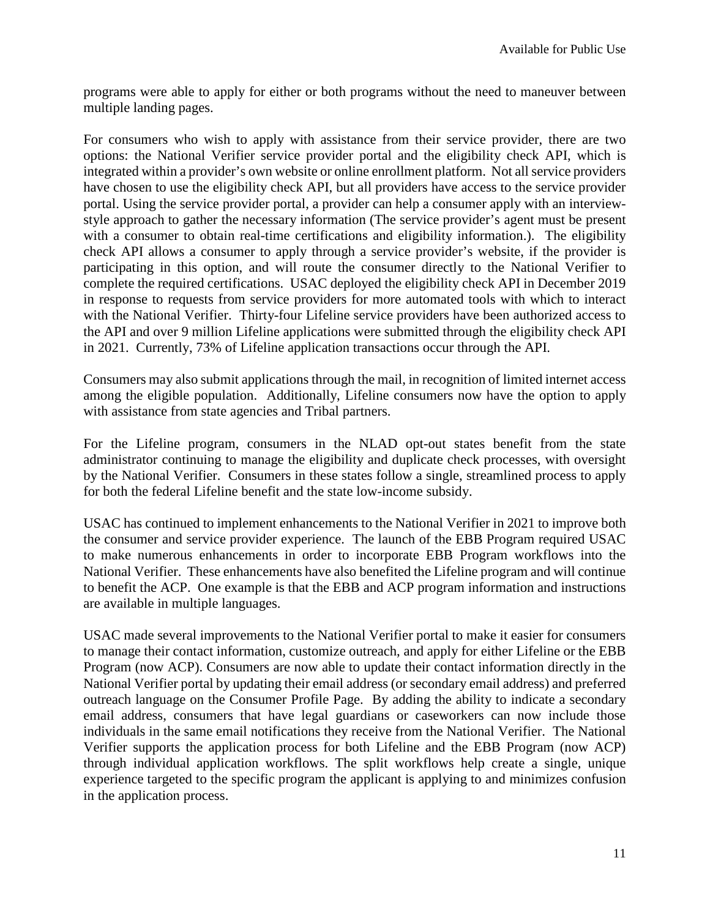programs were able to apply for either or both programs without the need to maneuver between multiple landing pages.

For consumers who wish to apply with assistance from their service provider, there are two options: the National Verifier service provider portal and the eligibility check API, which is integrated within a provider's own website or online enrollment platform. Not all service providers have chosen to use the eligibility check API, but all providers have access to the service provider portal. Using the service provider portal, a provider can help a consumer apply with an interviewstyle approach to gather the necessary information (The service provider's agent must be present with a consumer to obtain real-time certifications and eligibility information.). The eligibility check API allows a consumer to apply through a service provider's website, if the provider is participating in this option, and will route the consumer directly to the National Verifier to complete the required certifications. USAC deployed the eligibility check API in December 2019 in response to requests from service providers for more automated tools with which to interact with the National Verifier. Thirty-four Lifeline service providers have been authorized access to the API and over 9 million Lifeline applications were submitted through the eligibility check API in 2021. Currently, 73% of Lifeline application transactions occur through the API.

Consumers may also submit applications through the mail, in recognition of limited internet access among the eligible population. Additionally, Lifeline consumers now have the option to apply with assistance from state agencies and Tribal partners.

For the Lifeline program, consumers in the NLAD opt-out states benefit from the state administrator continuing to manage the eligibility and duplicate check processes, with oversight by the National Verifier. Consumers in these states follow a single, streamlined process to apply for both the federal Lifeline benefit and the state low-income subsidy.

USAC has continued to implement enhancements to the National Verifier in 2021 to improve both the consumer and service provider experience. The launch of the EBB Program required USAC to make numerous enhancements in order to incorporate EBB Program workflows into the National Verifier. These enhancements have also benefited the Lifeline program and will continue to benefit the ACP. One example is that the EBB and ACP program information and instructions are available in multiple languages.

USAC made several improvements to the National Verifier portal to make it easier for consumers to manage their contact information, customize outreach, and apply for either Lifeline or the EBB Program (now ACP). Consumers are now able to update their contact information directly in the National Verifier portal by updating their email address (or secondary email address) and preferred outreach language on the Consumer Profile Page. By adding the ability to indicate a secondary email address, consumers that have legal guardians or caseworkers can now include those individuals in the same email notifications they receive from the National Verifier. The National Verifier supports the application process for both Lifeline and the EBB Program (now ACP) through individual application workflows. The split workflows help create a single, unique experience targeted to the specific program the applicant is applying to and minimizes confusion in the application process.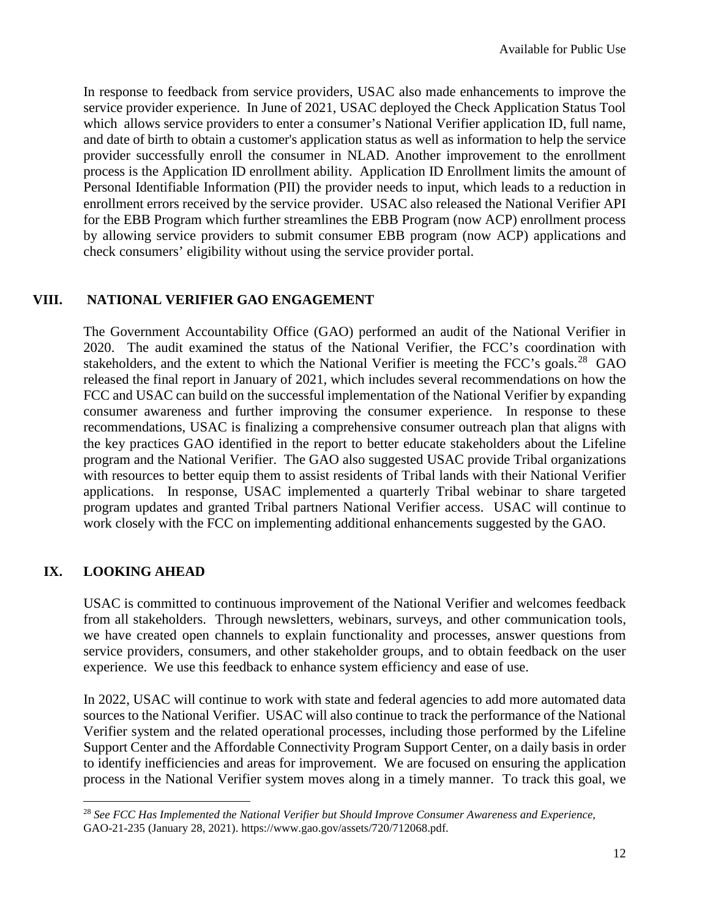In response to feedback from service providers, USAC also made enhancements to improve the service provider experience. In June of 2021, USAC deployed the Check Application Status Tool which allows service providers to enter a consumer's National Verifier application ID, full name, and date of birth to obtain a customer's application status as well as information to help the service provider successfully enroll the consumer in NLAD. Another improvement to the enrollment process is the Application ID enrollment ability. Application ID Enrollment limits the amount of Personal Identifiable Information (PII) the provider needs to input, which leads to a reduction in enrollment errors received by the service provider. USAC also released the National Verifier API for the EBB Program which further streamlines the EBB Program (now ACP) enrollment process by allowing service providers to submit consumer EBB program (now ACP) applications and check consumers' eligibility without using the service provider portal.

# **VIII. NATIONAL VERIFIER GAO ENGAGEMENT**

The Government Accountability Office (GAO) performed an audit of the National Verifier in 2020. The audit examined the status of the National Verifier, the FCC's coordination with stakeholders, and the extent to which the National Verifier is meeting the FCC's goals.<sup>[28](#page-11-0)</sup> GAO released the final report in January of 2021, which includes several recommendations on how the FCC and USAC can build on the successful implementation of the National Verifier by expanding consumer awareness and further improving the consumer experience. In response to these recommendations, USAC is finalizing a comprehensive consumer outreach plan that aligns with the key practices GAO identified in the report to better educate stakeholders about the Lifeline program and the National Verifier. The GAO also suggested USAC provide Tribal organizations with resources to better equip them to assist residents of Tribal lands with their National Verifier applications. In response, USAC implemented a quarterly Tribal webinar to share targeted program updates and granted Tribal partners National Verifier access. USAC will continue to work closely with the FCC on implementing additional enhancements suggested by the GAO.

### **IX. LOOKING AHEAD**

l

USAC is committed to continuous improvement of the National Verifier and welcomes feedback from all stakeholders. Through newsletters, webinars, surveys, and other communication tools, we have created open channels to explain functionality and processes, answer questions from service providers, consumers, and other stakeholder groups, and to obtain feedback on the user experience. We use this feedback to enhance system efficiency and ease of use.

In 2022, USAC will continue to work with state and federal agencies to add more automated data sources to the National Verifier. USAC will also continue to track the performance of the National Verifier system and the related operational processes, including those performed by the Lifeline Support Center and the Affordable Connectivity Program Support Center, on a daily basis in order to identify inefficiencies and areas for improvement. We are focused on ensuring the application process in the National Verifier system moves along in a timely manner. To track this goal, we

<span id="page-11-0"></span><sup>28</sup> *See FCC Has Implemented the National Verifier but Should Improve Consumer Awareness and Experience*, GAO-21-235 (January 28, 2021). https://www.gao.gov/assets/720/712068.pdf.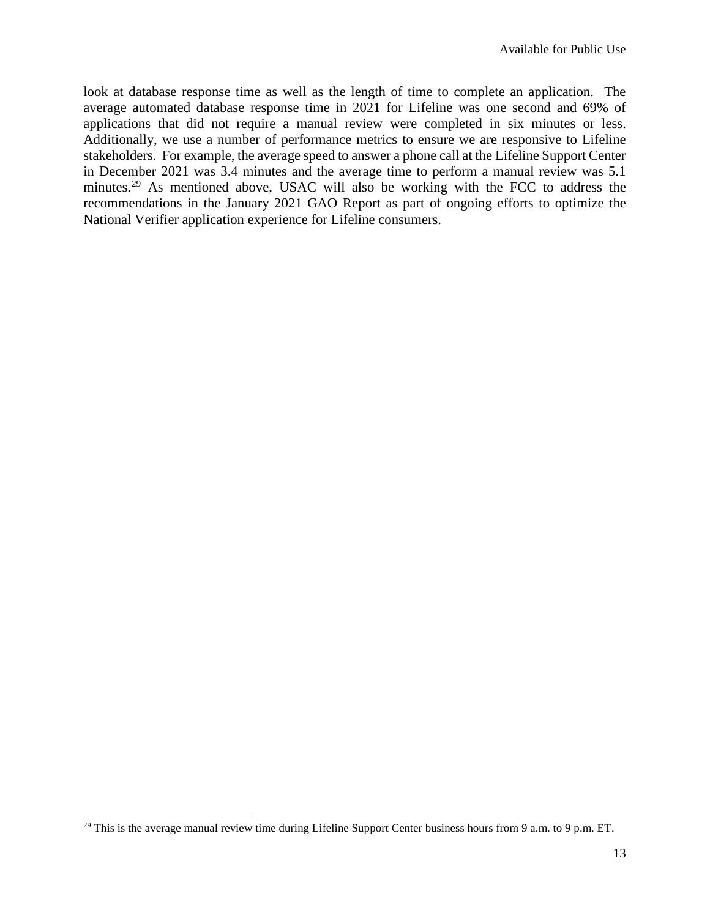look at database response time as well as the length of time to complete an application. The average automated database response time in 2021 for Lifeline was one second and 69% of applications that did not require a manual review were completed in six minutes or less. Additionally, we use a number of performance metrics to ensure we are responsive to Lifeline stakeholders. For example, the average speed to answer a phone call at the Lifeline Support Center in December 2021 was 3.4 minutes and the average time to perform a manual review was 5.1 minutes.<sup>[29](#page-12-0)</sup> As mentioned above, USAC will also be working with the FCC to address the recommendations in the January 2021 GAO Report as part of ongoing efforts to optimize the National Verifier application experience for Lifeline consumers.

l

<span id="page-12-0"></span> $29$  This is the average manual review time during Lifeline Support Center business hours from 9 a.m. to 9 p.m. ET.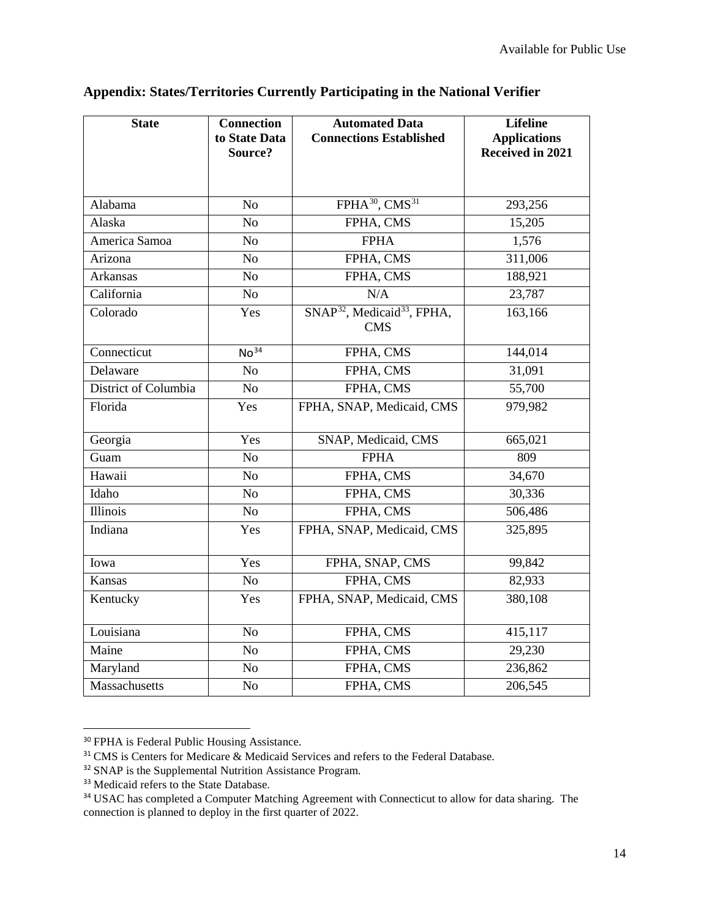| <b>State</b>         | <b>Connection</b><br>to State Data<br>Source? | <b>Automated Data</b><br><b>Connections Established</b>           | <b>Lifeline</b><br><b>Applications</b><br>Received in 2021 |
|----------------------|-----------------------------------------------|-------------------------------------------------------------------|------------------------------------------------------------|
| Alabama              | N <sub>o</sub>                                | FPHA <sup>30</sup> , CMS <sup>31</sup>                            | 293,256                                                    |
| Alaska               | N <sub>o</sub>                                | FPHA, CMS                                                         | 15,205                                                     |
| America Samoa        | N <sub>o</sub>                                | <b>FPHA</b>                                                       | 1,576                                                      |
| Arizona              | No                                            | FPHA, CMS                                                         | 311,006                                                    |
| Arkansas             | N <sub>o</sub>                                | FPHA, CMS                                                         | 188,921                                                    |
| California           | N <sub>o</sub>                                | N/A                                                               | 23,787                                                     |
| Colorado             | Yes                                           | SNAP <sup>32</sup> , Medicaid <sup>33</sup> , FPHA,<br><b>CMS</b> | 163,166                                                    |
| Connecticut          | No <sup>34</sup>                              | FPHA, CMS                                                         | 144,014                                                    |
| Delaware             | N <sub>o</sub>                                | FPHA, CMS                                                         | 31,091                                                     |
| District of Columbia | N <sub>o</sub>                                | FPHA, CMS                                                         | 55,700                                                     |
| Florida              | Yes                                           | FPHA, SNAP, Medicaid, CMS                                         | 979,982                                                    |
| Georgia              | Yes                                           | SNAP, Medicaid, CMS                                               | 665,021                                                    |
| Guam                 | N <sub>o</sub>                                | <b>FPHA</b>                                                       | 809                                                        |
| Hawaii               | No                                            | FPHA, CMS                                                         | 34,670                                                     |
| Idaho                | N <sub>o</sub>                                | FPHA, CMS                                                         | 30,336                                                     |
| <b>Illinois</b>      | N <sub>o</sub>                                | FPHA, CMS                                                         | 506,486                                                    |
| Indiana              | Yes                                           | FPHA, SNAP, Medicaid, CMS                                         | 325,895                                                    |
| Iowa                 | Yes                                           | FPHA, SNAP, CMS                                                   | 99,842                                                     |
| Kansas               | N <sub>o</sub>                                | FPHA, CMS                                                         | 82,933                                                     |
| Kentucky             | Yes                                           | FPHA, SNAP, Medicaid, CMS                                         | 380,108                                                    |
| Louisiana            | N <sub>o</sub>                                | FPHA, CMS                                                         | 415,117                                                    |
| Maine                | N <sub>o</sub>                                | FPHA, CMS                                                         | 29,230                                                     |
| Maryland             | N <sub>o</sub>                                | FPHA, CMS                                                         | 236,862                                                    |
| Massachusetts        | N <sub>o</sub>                                | FPHA, CMS                                                         | 206,545                                                    |

# **Appendix: States/Territories Currently Participating in the National Verifier**

<span id="page-13-0"></span> <sup>30</sup> FPHA is Federal Public Housing Assistance.

<span id="page-13-1"></span><sup>&</sup>lt;sup>31</sup> CMS is Centers for Medicare & Medicaid Services and refers to the Federal Database.

<span id="page-13-2"></span><sup>&</sup>lt;sup>32</sup> SNAP is the Supplemental Nutrition Assistance Program.

<span id="page-13-3"></span><sup>&</sup>lt;sup>33</sup> Medicaid refers to the State Database.

<span id="page-13-4"></span><sup>&</sup>lt;sup>34</sup> USAC has completed a Computer Matching Agreement with Connecticut to allow for data sharing. The connection is planned to deploy in the first quarter of 2022.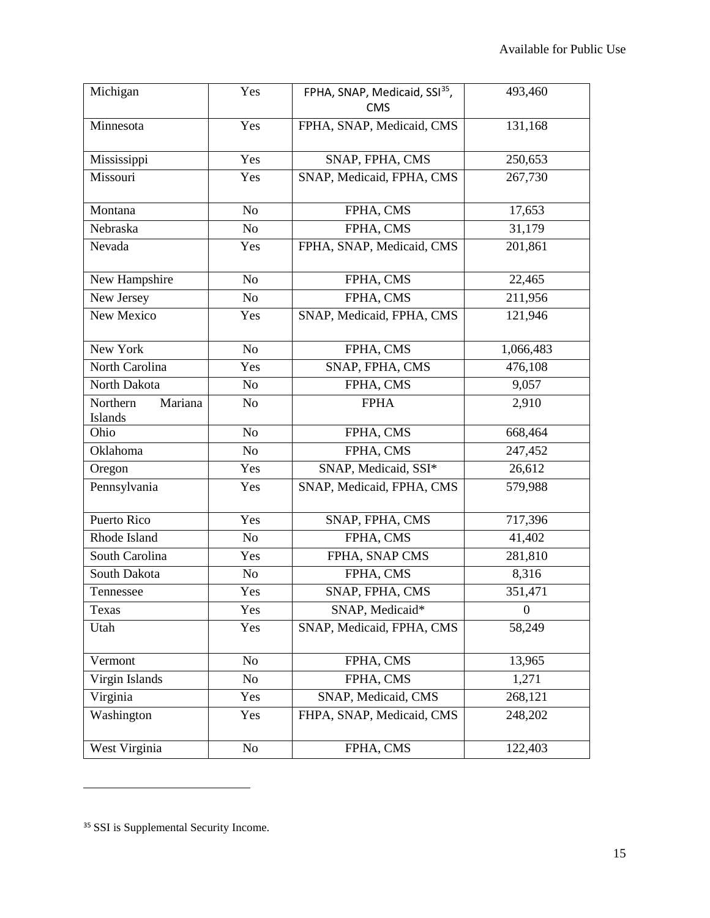| Michigan                       | Yes            | FPHA, SNAP, Medicaid, SSI <sup>35</sup> ,<br><b>CMS</b> | 493,460        |
|--------------------------------|----------------|---------------------------------------------------------|----------------|
| Minnesota                      | Yes            | FPHA, SNAP, Medicaid, CMS                               | 131,168        |
| Mississippi                    | Yes            | SNAP, FPHA, CMS                                         | 250,653        |
| Missouri                       | Yes            | SNAP, Medicaid, FPHA, CMS                               | 267,730        |
| Montana                        | N <sub>o</sub> | FPHA, CMS                                               | 17,653         |
| Nebraska                       | N <sub>o</sub> | FPHA, CMS                                               | 31,179         |
| Nevada                         | Yes            | FPHA, SNAP, Medicaid, CMS                               | 201,861        |
| New Hampshire                  | No             | FPHA, CMS                                               | 22,465         |
| New Jersey                     | N <sub>o</sub> | FPHA, CMS                                               | 211,956        |
| New Mexico                     | Yes            | SNAP, Medicaid, FPHA, CMS                               | 121,946        |
| New York                       | No             | FPHA, CMS                                               | 1,066,483      |
| North Carolina                 | Yes            | SNAP, FPHA, CMS                                         | 476,108        |
| North Dakota                   | N <sub>o</sub> | FPHA, CMS                                               | 9,057          |
| Northern<br>Mariana<br>Islands | N <sub>o</sub> | <b>FPHA</b>                                             | 2,910          |
| Ohio                           | No             | FPHA, CMS                                               | 668,464        |
| Oklahoma                       | N <sub>o</sub> | FPHA, CMS                                               | 247,452        |
| Oregon                         | Yes            | SNAP, Medicaid, SSI*                                    | 26,612         |
| Pennsylvania                   | Yes            | SNAP, Medicaid, FPHA, CMS                               | 579,988        |
| Puerto Rico                    | Yes            | SNAP, FPHA, CMS                                         | 717,396        |
| Rhode Island                   | N <sub>o</sub> | FPHA, CMS                                               | 41,402         |
| South Carolina                 | Yes            | FPHA, SNAP CMS                                          | 281,810        |
| South Dakota                   | No             | FPHA, CMS                                               | 8,316          |
| Tennessee                      | Yes            | SNAP, FPHA, CMS                                         | 351,471        |
| Texas                          | Yes            | SNAP, Medicaid*                                         | $\overline{0}$ |
| Utah                           | Yes            | SNAP, Medicaid, FPHA, CMS                               | 58,249         |
| Vermont                        | N <sub>o</sub> | FPHA, CMS                                               | 13,965         |
| Virgin Islands                 | N <sub>o</sub> | FPHA, CMS                                               | 1,271          |
| Virginia                       | Yes            | SNAP, Medicaid, CMS                                     | 268,121        |
| Washington                     | Yes            | FHPA, SNAP, Medicaid, CMS                               | 248,202        |
| West Virginia                  | N <sub>o</sub> | FPHA, CMS                                               | 122,403        |

l

<span id="page-14-1"></span><span id="page-14-0"></span><sup>&</sup>lt;sup>35</sup> SSI is Supplemental Security Income.